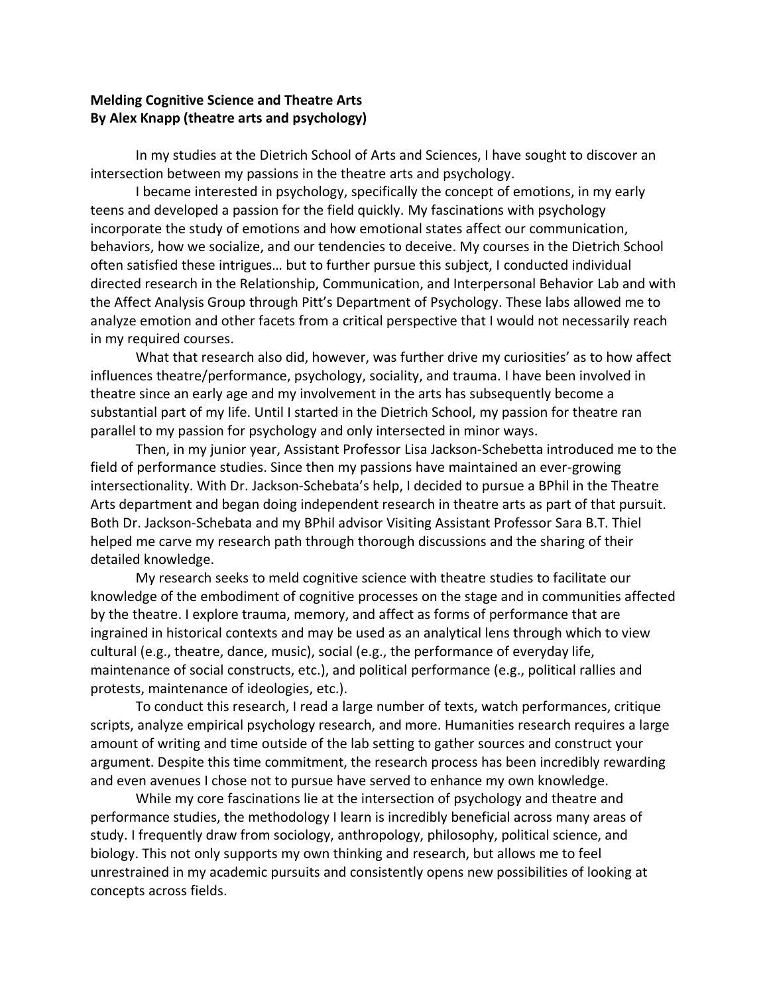## **Melding Cognitive Science and Theatre Arts By Alex Knapp (theatre arts and psychology)**

In my studies at the Dietrich School of Arts and Sciences, I have sought to discover an intersection between my passions in the theatre arts and psychology.

I became interested in psychology, specifically the concept of emotions, in my early teens and developed a passion for the field quickly. My fascinations with psychology incorporate the study of emotions and how emotional states affect our communication, behaviors, how we socialize, and our tendencies to deceive. My courses in the Dietrich School often satisfied these intrigues… but to further pursue this subject, I conducted individual directed research in the Relationship, Communication, and Interpersonal Behavior Lab and with the Affect Analysis Group through Pitt's Department of Psychology. These labs allowed me to analyze emotion and other facets from a critical perspective that I would not necessarily reach in my required courses.

What that research also did, however, was further drive my curiosities' as to how affect influences theatre/performance, psychology, sociality, and trauma. I have been involved in theatre since an early age and my involvement in the arts has subsequently become a substantial part of my life. Until I started in the Dietrich School, my passion for theatre ran parallel to my passion for psychology and only intersected in minor ways.

Then, in my junior year, Assistant Professor Lisa Jackson-Schebetta introduced me to the field of performance studies. Since then my passions have maintained an ever-growing intersectionality. With Dr. Jackson-Schebata's help, I decided to pursue a BPhil in the Theatre Arts department and began doing independent research in theatre arts as part of that pursuit. Both Dr. Jackson-Schebata and my BPhil advisor Visiting Assistant Professor Sara B.T. Thiel helped me carve my research path through thorough discussions and the sharing of their detailed knowledge.

My research seeks to meld cognitive science with theatre studies to facilitate our knowledge of the embodiment of cognitive processes on the stage and in communities affected by the theatre. I explore trauma, memory, and affect as forms of performance that are ingrained in historical contexts and may be used as an analytical lens through which to view cultural (e.g., theatre, dance, music), social (e.g., the performance of everyday life, maintenance of social constructs, etc.), and political performance (e.g., political rallies and protests, maintenance of ideologies, etc.).

To conduct this research, I read a large number of texts, watch performances, critique scripts, analyze empirical psychology research, and more. Humanities research requires a large amount of writing and time outside of the lab setting to gather sources and construct your argument. Despite this time commitment, the research process has been incredibly rewarding and even avenues I chose not to pursue have served to enhance my own knowledge.

While my core fascinations lie at the intersection of psychology and theatre and performance studies, the methodology I learn is incredibly beneficial across many areas of study. I frequently draw from sociology, anthropology, philosophy, political science, and biology. This not only supports my own thinking and research, but allows me to feel unrestrained in my academic pursuits and consistently opens new possibilities of looking at concepts across fields.